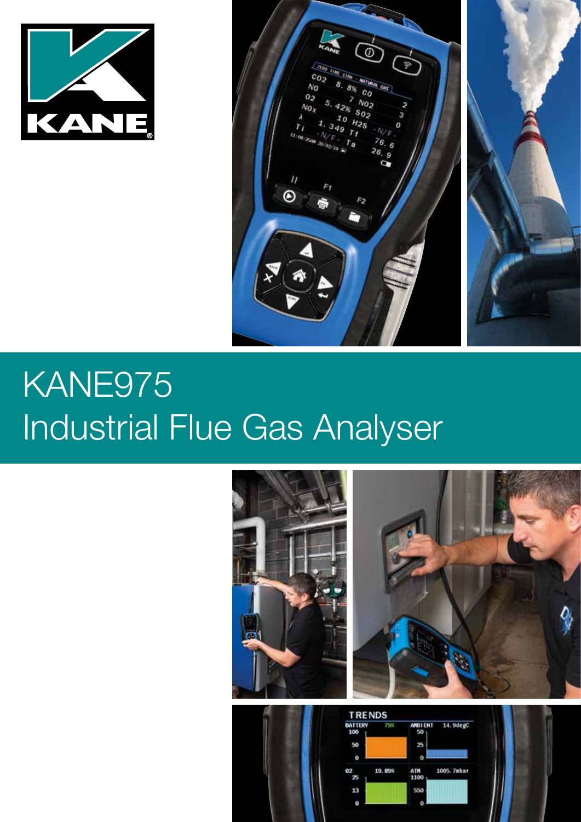

**ANTE** 

# KANE975 Industrial Flue Gas Analyser



19, 89%

 $13$ 

ATM<br>1100

550

1005, 7abar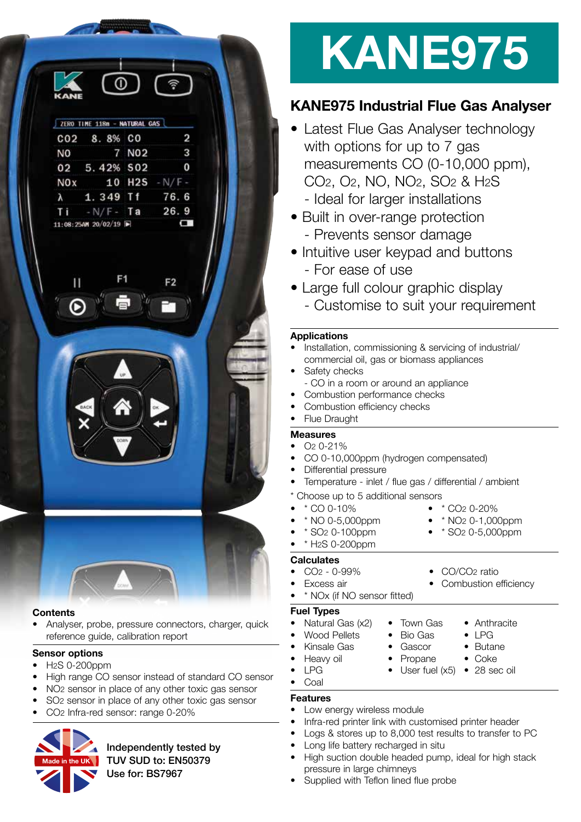| <b>KANE</b>      |                              |                     |                 |
|------------------|------------------------------|---------------------|-----------------|
|                  | ZERO TIME 118n - NATURAL GAS |                     |                 |
|                  | CO2 8.8% CO                  |                     | 2               |
| <b>NO</b>        |                              | 7 NO <sub>2</sub>   | 3               |
|                  | 02 5.42% 502                 |                     | 0               |
| N <sub>O</sub> x |                              |                     | 10 H2S $-N/F -$ |
| $\lambda$        | 1.349 Tf 76.6                |                     |                 |
| Ti               | $-N/F - Ta$ 26.9             |                     |                 |
|                  |                              | 11:08:25AM 20/02/19 |                 |





#### **Contents**

• Analyser, probe, pressure connectors, charger, quick reference guide, calibration report

#### **Sensor options**

- H<sub>2</sub>S 0-200ppm
- High range CO sensor instead of standard CO sensor
- NO2 sensor in place of any other toxic gas sensor
- SO2 sensor in place of any other toxic gas sensor
- CO2 Infra-red sensor: range 0-20%



Independently tested by TUV SUD to: EN50379 Use for: BS7967

# **KANE975**

## **KANE975 Industrial Flue Gas Analyser**

- Latest Flue Gas Analyser technology with options for up to 7 gas measurements CO (0-10,000 ppm), CO2, O2, NO, NO2, SO2 & H2S
	- Ideal for larger installations
- Built in over-range protection - Prevents sensor damage
- Intuitive user keypad and buttons - For ease of use
- Large full colour graphic display
	- Customise to suit your requirement

#### **Applications**

- Installation, commissioning & servicing of industrial/ commercial oil, gas or biomass appliances
- Safety checks
- CO in a room or around an appliance
- Combustion performance checks
- Combustion efficiency checks
- **Flue Draught**

#### **Measures**

- $\bullet$   $\Omega$  0-21%
- CO 0-10,000ppm (hydrogen compensated)
- Differential pressure
- Temperature inlet / flue gas / differential / ambient
- Choose up to 5 additional sensors
- \* CO 0-10% \* CO2 0-20%
- 

• \* H2S 0-200ppm

- \* NO 0-5,000ppm \* NO2 0-1,000ppm
- \* SO2 0-100ppm \* SO2 0-5,000ppm
	-

#### **Calculates**

- CO2 0-99% CO/CO2 ratio
- -
- 
- **Fuel Types**
- Wood Pellets Bio Gas LPG
- Kinsale Gas Gascor Butane
- 
- 
- Coal

#### **Features**

- Low energy wireless module
- Infra-red printer link with customised printer header
- Logs & stores up to 8,000 test results to transfer to PC
- Long life battery recharged in situ
- High suction double headed pump, ideal for high stack pressure in large chimneys
- Supplied with Teflon lined flue probe
- Excess air **•** Combustion efficiency
- \* NOx (if NO sensor fitted)
	-
- Natural Gas (x2) Town Gas Anthracite
	-
	-
	-
	-
- Heavy oil Propane Coke • LPG • User fuel (x5) • 28 sec oil
	-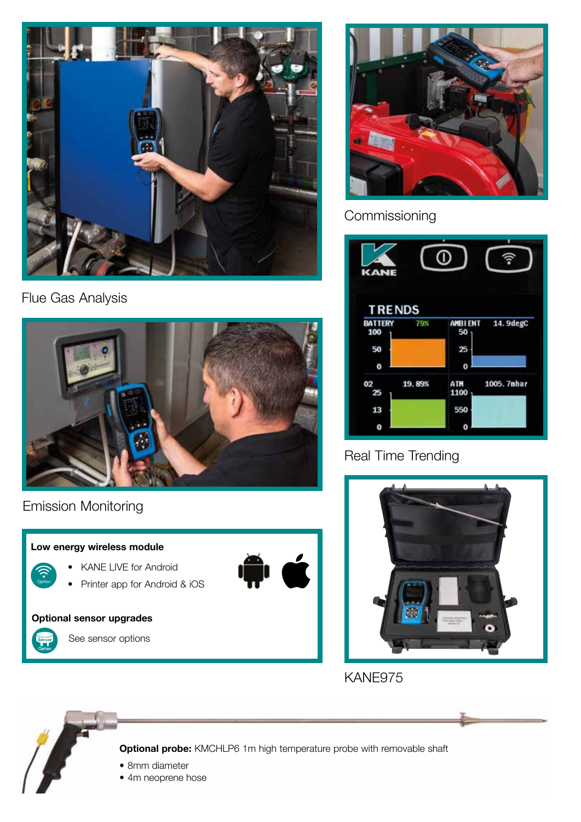

Flue Gas Analysis



Emission Monitoring





## Commissioning



## Real Time Trending



KANE975



**Optional probe:** KMCHLP6 1m high temperature probe with removable shaft

- 8mm diameter
- 4m neoprene hose